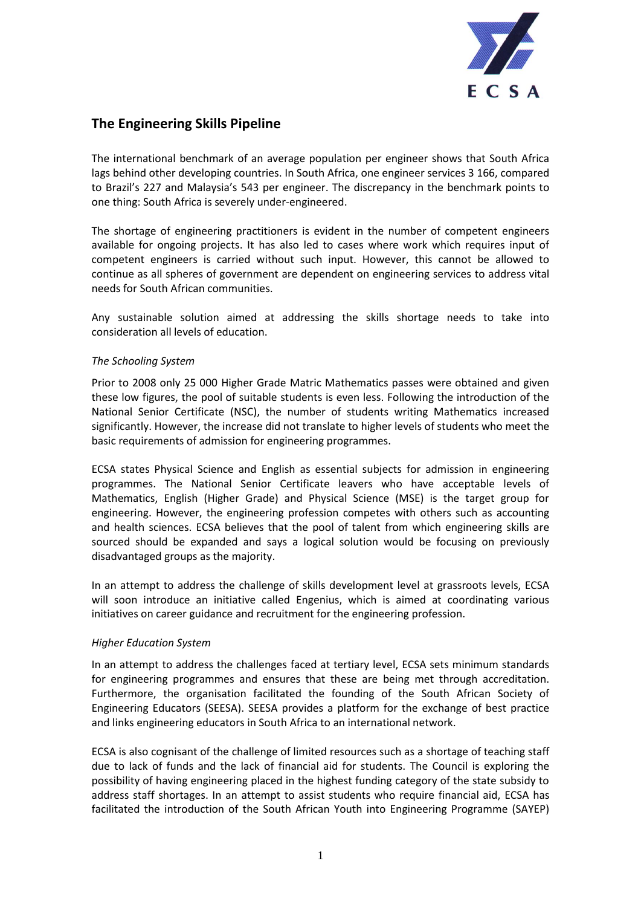

## **The Engineering Skills Pipeline**

The international benchmark of an average population per engineer shows that South Africa lags behind other developing countries. In South Africa, one engineer services 3 166, compared to Brazil's 227 and Malaysia's 543 per engineer. The discrepancy in the benchmark points to one thing: South Africa is severely under-engineered.

The shortage of engineering practitioners is evident in the number of competent engineers available for ongoing projects. It has also led to cases where work which requires input of competent engineers is carried without such input. However, this cannot be allowed to continue as all spheres of government are dependent on engineering services to address vital needs for South African communities.

Any sustainable solution aimed at addressing the skills shortage needs to take into consideration all levels of education.

## *The Schooling System*

Prior to 2008 only 25 000 Higher Grade Matric Mathematics passes were obtained and given these low figures, the pool of suitable students is even less. Following the introduction of the National Senior Certificate (NSC), the number of students writing Mathematics increased significantly. However, the increase did not translate to higher levels of students who meet the basic requirements of admission for engineering programmes.

ECSA states Physical Science and English as essential subjects for admission in engineering programmes. The National Senior Certificate leavers who have acceptable levels of Mathematics, English (Higher Grade) and Physical Science (MSE) is the target group for engineering. However, the engineering profession competes with others such as accounting and health sciences. ECSA believes that the pool of talent from which engineering skills are sourced should be expanded and says a logical solution would be focusing on previously disadvantaged groups as the majority.

In an attempt to address the challenge of skills development level at grassroots levels, ECSA will soon introduce an initiative called Engenius, which is aimed at coordinating various initiatives on career guidance and recruitment for the engineering profession.

## *Higher Education System*

In an attempt to address the challenges faced at tertiary level, ECSA sets minimum standards for engineering programmes and ensures that these are being met through accreditation. Furthermore, the organisation facilitated the founding of the South African Society of Engineering Educators (SEESA). SEESA provides a platform for the exchange of best practice and links engineering educators in South Africa to an international network.

ECSA is also cognisant of the challenge of limited resources such as a shortage of teaching staff due to lack of funds and the lack of financial aid for students. The Council is exploring the possibility of having engineering placed in the highest funding category of the state subsidy to address staff shortages. In an attempt to assist students who require financial aid, ECSA has facilitated the introduction of the South African Youth into Engineering Programme (SAYEP)